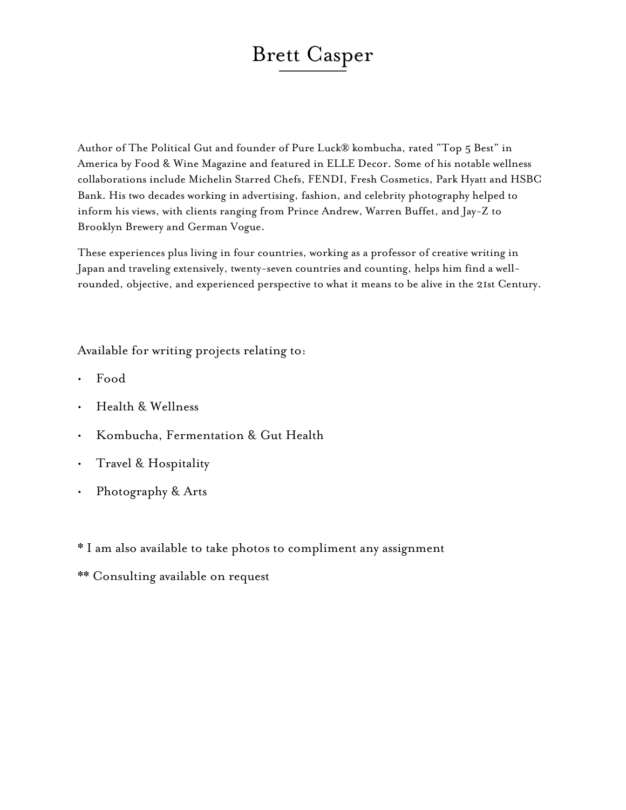# Brett Casper

Author of The Political Gut and founder of Pure Luck® kombucha, rated "Top 5 Best" in America by Food & Wine Magazine and featured in ELLE Decor. Some of his notable wellness collaborations include Michelin Starred Chefs, FENDI, Fresh Cosmetics, Park Hyatt and HSBC Bank. His two decades working in advertising, fashion, and celebrity photography helped to inform his views, with clients ranging from Prince Andrew, Warren Buffet, and Jay-Z to Brooklyn Brewery and German Vogue.

These experiences plus living in four countries, working as a professor of creative writing in Japan and traveling extensively, twenty-seven countries and counting, helps him find a wellrounded, objective, and experienced perspective to what it means to be alive in the 21st Century.

Available for writing projects relating to:

- Food
- Health & Wellness
- Kombucha, Fermentation & Gut Health
- Travel & Hospitality
- Photography & Arts
- \* I am also available to take photos to compliment any assignment
- \*\* Consulting available on request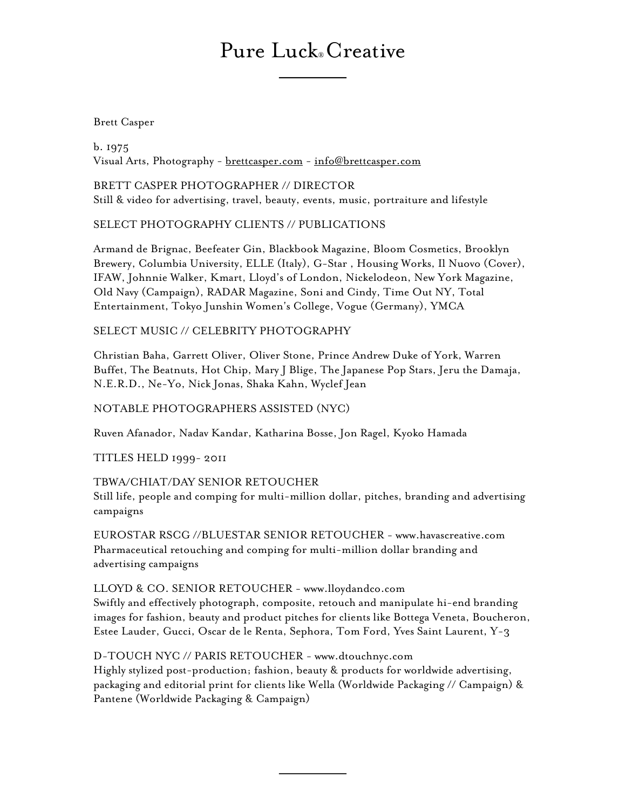## Pure Luck® Creative

Brett Casper

b. 1975 Visual Arts, Photography - [brettcasper.com](http://brettcasper.com) - [info@brettcasper.com](mailto:info@brettcasper.com)

BRETT CASPER PHOTOGRAPHER // DIRECTOR Still & video for advertising, travel, beauty, events, music, portraiture and lifestyle

## SELECT PHOTOGRAPHY CLIENTS // PUBLICATIONS

Armand de Brignac, Beefeater Gin, Blackbook Magazine, Bloom Cosmetics, Brooklyn Brewery, Columbia University, ELLE (Italy), G-Star , Housing Works, Il Nuovo (Cover), IFAW, Johnnie Walker, Kmart, Lloyd's of London, Nickelodeon, New York Magazine, Old Navy (Campaign), RADAR Magazine, Soni and Cindy, Time Out NY, Total Entertainment, Tokyo Junshin Women's College, Vogue (Germany), YMCA

## SELECT MUSIC // CELEBRITY PHOTOGRAPHY

Christian Baha, Garrett Oliver, Oliver Stone, Prince Andrew Duke of York, Warren Buffet, The Beatnuts, Hot Chip, Mary J Blige, The Japanese Pop Stars, Jeru the Damaja, N.E.R.D., Ne-Yo, Nick Jonas, Shaka Kahn, Wyclef Jean

## NOTABLE PHOTOGRAPHERS ASSISTED (NYC)

Ruven Afanador, Nadav Kandar, Katharina Bosse, Jon Ragel, Kyoko Hamada

TITLES HELD 1999- 2011

## TBWA/CHIAT/DAY SENIOR RETOUCHER

Still life, people and comping for multi-million dollar, pitches, branding and advertising campaigns

EUROSTAR RSCG //BLUESTAR SENIOR RETOUCHER - www.havascreative.com Pharmaceutical retouching and comping for multi-million dollar branding and advertising campaigns

## LLOYD & CO. SENIOR RETOUCHER - www.lloydandco.com

Swiftly and effectively photograph, composite, retouch and manipulate hi-end branding images for fashion, beauty and product pitches for clients like Bottega Veneta, Boucheron, Estee Lauder, Gucci, Oscar de le Renta, Sephora, Tom Ford, Yves Saint Laurent, Y-3

## D-TOUCH NYC // PARIS RETOUCHER - www.dtouchnyc.com

Highly stylized post-production; fashion, beauty & products for worldwide advertising, packaging and editorial print for clients like Wella (Worldwide Packaging // Campaign) & Pantene (Worldwide Packaging & Campaign)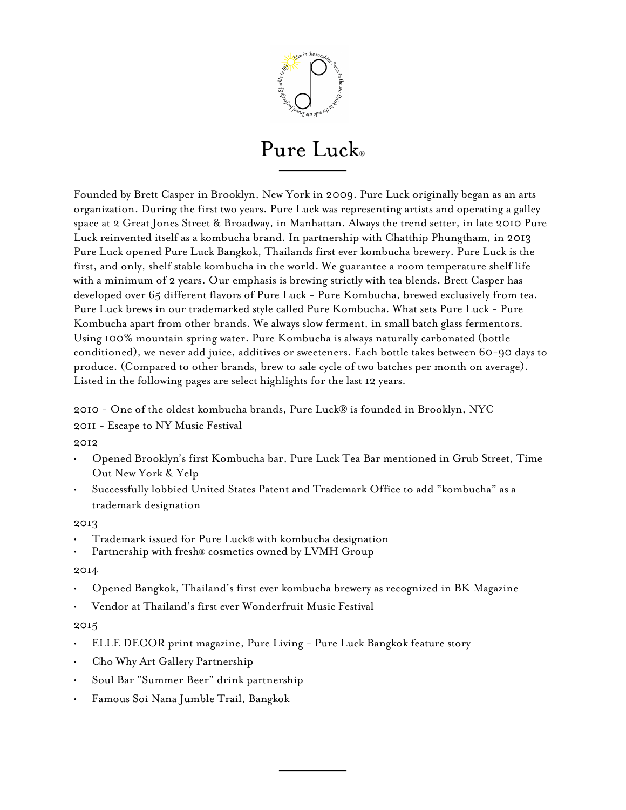

## Pure Luck®

Founded by Brett Casper in Brooklyn, New York in 2009. Pure Luck originally began as an arts organization. During the first two years. Pure Luck was representing artists and operating a galley space at 2 Great Jones Street & Broadway, in Manhattan. Always the trend setter, in late 2010 Pure Luck reinvented itself as a kombucha brand. In partnership with Chatthip Phungtham, in 2013 Pure Luck opened Pure Luck Bangkok, Thailands first ever kombucha brewery. Pure Luck is the first, and only, shelf stable kombucha in the world. We guarantee a room temperature shelf life with a minimum of 2 years. Our emphasis is brewing strictly with tea blends. Brett Casper has developed over 65 different flavors of Pure Luck - Pure Kombucha, brewed exclusively from tea. Pure Luck brews in our trademarked style called Pure Kombucha. What sets Pure Luck - Pure Kombucha apart from other brands. We always slow ferment, in small batch glass fermentors. Using 100% mountain spring water. Pure Kombucha is always naturally carbonated (bottle conditioned), we never add juice, additives or sweeteners. Each bottle takes between 60-90 days to produce. (Compared to other brands, brew to sale cycle of two batches per month on average). Listed in the following pages are select highlights for the last 12 years.

2010 - One of the oldest kombucha brands, Pure Luck® is founded in Brooklyn, NYC

2011 - Escape to NY Music Festival

2012

- Opened Brooklyn's first Kombucha bar, Pure Luck Tea Bar mentioned in Grub Street, Time Out New York & Yelp
- Successfully lobbied United States Patent and Trademark Office to add "kombucha" as a trademark designation

2013

- 
- Trademark issued for Pure Luck® with kombucha designation Partnership with fresh® cosmetics owned by LVMH Group

### 2014

- Opened Bangkok, Thailand's first ever kombucha brewery as recognized in BK Magazine
- Vendor at Thailand's first ever Wonderfruit Music Festival

### 2015

- ELLE DECOR print magazine, Pure Living Pure Luck Bangkok feature story
- Cho Why Art Gallery Partnership
- Soul Bar "Summer Beer" drink partnership
- Famous Soi Nana Jumble Trail, Bangkok